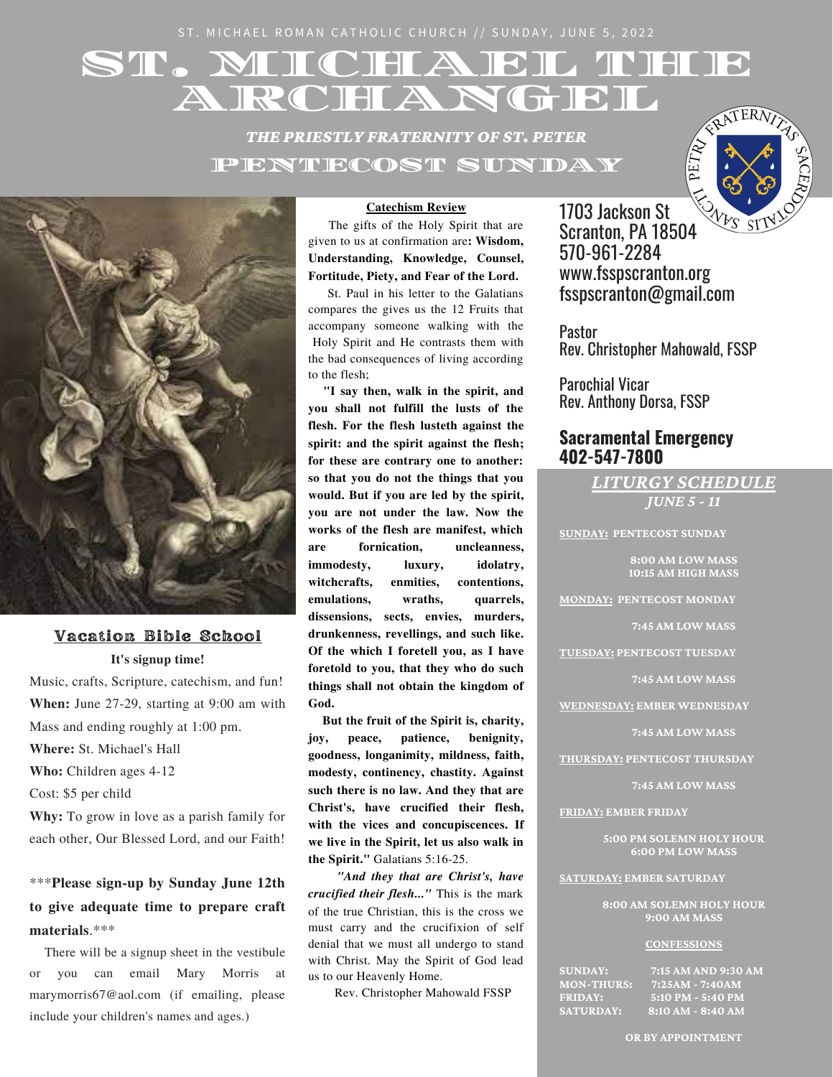ST. MICHAEL ROMAN CATHOLIC CHURCH // SUNDAY, JUNE 5, 2022

# ST. MICHAIEL THEFT ARCHANGEL

*THE PRIESTLY FRATERNITY OF ST. PETER* PENTECOST SUNDAY





#### Vacation Bible School

#### **It's signup time!**

Music, crafts, Scripture, catechism, and fun! **When:** June 27-29, starting at 9:00 am with Mass and ending roughly at 1:00 pm. **Where:** St. Michael's Hall **Who:** Children ages 4-12 Cost: \$5 per child

**Why:** To grow in love as a parish family for each other, Our Blessed Lord, and our Faith!

\*\*\***Please sign-up by Sunday June 12th to give adequate time to prepare craft materials**.\*\*\*

There will be a signup sheet in the vestibule or you can email Mary Morris at [marymorris67@aol.com](mailto:marymorris67@aol.com) (if emailing, please include your children's names and ages.)

#### **Catechism Review**

The gifts of the Holy Spirit that are given to us at confirmation are**: Wisdom, Understanding, Knowledge, Counsel, Fortitude, Piety, and Fear of the Lord.**

St. Paul in his letter to the Galatians compares the gives us the 12 Fruits that accompany someone walking with the Holy Spirit and He contrasts them with the bad consequences of living according to the flesh;

**"I say then, walk in the spirit, and you shall not fulfill the lusts of the flesh. For the flesh lusteth against the spirit: and the spirit against the flesh; for these are contrary one to another: so that you do not the things that you would. But if you are led by the spirit, you are not under the law. Now the works of the flesh are manifest, which are fornication, uncleanness, immodesty, luxury, idolatry, witchcrafts, enmities, contentions, emulations, wraths, quarrels, dissensions, sects, envies, murders, drunkenness, revellings, and such like. Of the which I foretell you, as I have foretold to you, that they who do such things shall not obtain the kingdom of God.**

**But the fruit of the Spirit is, charity, joy, peace, patience, benignity, goodness, longanimity, mildness, faith, modesty, continency, chastity. Against such there is no law. And they that are Christ's, have crucified their flesh, with the vices and concupiscences. If we live in the Spirit, let us also walk in the Spirit."** Galatians 5:16-25.

*"And they that are Christ's, have crucified their flesh..."* This is the mark of the true Christian, this is the cross we must carry and the crucifixion of self denial that we must all undergo to stand with Christ. May the Spirit of God lead us to our Heavenly Home.

Rev. Christopher Mahowald FSSP

1703 Jackson St 1703 Jackson St<br>Scranton, PA 18504 570-961-2284 www.fsspscranton.org fsspscranton@gmail.com

Pastor Rev. Christopher Mahowald, FSSP

Parochial Vicar Rev. Anthony Dorsa, FSSP

# **Sacramental Emergency 402-547-7800**

*LITURGY SCHEDULE*

*JUNE 5 - 11*

**SUNDAY: PENTECOST SUNDAY**

**8:00 AM LOW MASS 10:15 AM HIGH MASS**

**MONDAY: PENTECOST MONDAY**

**7:45 AM LOW MASS**

**TUESDAY: PENTECOST TUESDAY**

**7:45 AM LOW MASS**

**WEDNESDAY: EMBER WEDNESDAY**

**7:45 AM LOW MASS**

**THURSDAY: PENTECOST THURSDAY**

**7:45 AM LOW MASS**

**FRIDAY: EMBER FRIDAY**

**5:00 PM SOLEMN HOLY HOUR 6:00 PM LOW MASS**

**SATURDAY: EMBER SATURDAY**

**8:00 AM SOLEMN HOLY HOUR 9:00 AM MASS**

#### **CONFESSIONS**

**SUNDAY:** 7:15 AM AND 9:30 AM<br>MON-THURS: 7:25AM - 7:40AM<br>FRIDAY: <u>5:10 PM - 5:40 PM</u> **MON-THURS: 7:25AM - 7:40AM FRIDAY: 5:10 PM - 5:40 PM SATURDAY: 8:10 AM - 8:40 AM**

**OR BY APPOINTMENT**